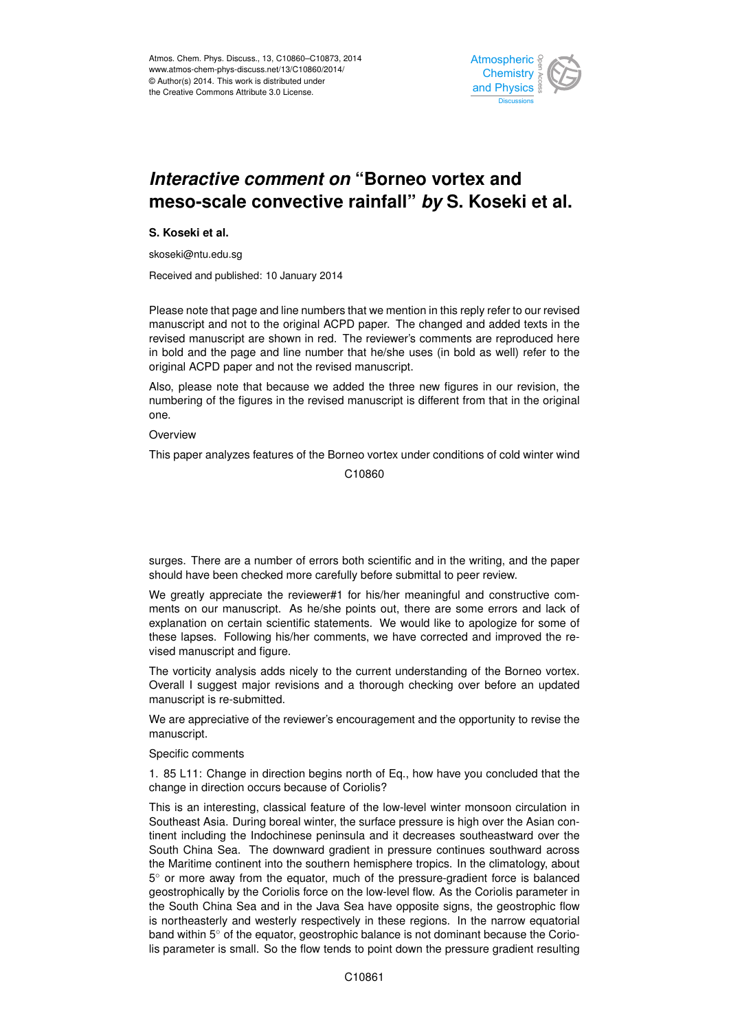

## merasing comment on Domoc reflex and<br>meso-scale convective rainfall" *by* S. Koseki et al. م<br>م .<br>و *Interactive comment on* "Borneo vortex and

**S. Koseki et al.**

skoseki@ntu.edu.sg

Received and published: 10 January 2014

Please note that page and line numbers that we mention in this reply refer to our revised h:<br>.  $\frac{1}{2}$ manuscript and not to the original ACPD paper. The changed and added texts in the revised manuscript are shown in red. The reviewer's comments are reproduced here in bold and the page and line number that he/she uses (in bold as well) refer to the original ACPD paper and not the revised manuscript. h<br>r e

Also, please note that because we added the three new figures in our revision, the Discussions Open Access Open Access numbering of the figures in the revised manuscript is different from that in the original<br>cne one.

**Overview** 

This paper analyzes features of the Borneo vortex under conditions of cold winter wind

Earth System  $\overline{1}$ C10860

surges. There are a number of errors both scientific and in the writing, and the paper should have been checked more carefully before submittal to peer review.

eviewer#1 for his/her meaningful and construct y<br>o iv<br>P We greatly appreciate the reviewer#1 for his/her meaningful and constructive comvised manuscript and figure.  $\overline{a}$ d<br>C these lapses. Following his/her comments, we have corrected and improved the re-<br>vised meauserint and figure ments on our manuscript. As he/she points out, there are some errors and lack of explanation on certain scientific statements. We would like to apologize for some of

The vorticity analysis adds nicely to the current understanding of the Borneo vortex. Overall I suggest major revisions and a thorough checking over before an updated manuscript is re-submitted.

We are appreciative of the reviewer's encouragement and the opportunity to revise the manuscript.

Specific comments

1. 85 L11: Change in direction begins north of Eq., how have you concluded that the change in direction occurs because of Coriolis?

This is an interesting, classical feature of the low-level winter monsoon circulation in Southeast Asia. During boreal winter, the surface pressure is high over the Asian continent including the Indochinese peninsula and it decreases southeastward over the South China Sea. The downward gradient in pressure continues southward across the Maritime continent into the southern hemisphere tropics. In the climatology, about 5 ◦ or more away from the equator, much of the pressure-gradient force is balanced geostrophically by the Coriolis force on the low-level flow. As the Coriolis parameter in the South China Sea and in the Java Sea have opposite signs, the geostrophic flow is northeasterly and westerly respectively in these regions. In the narrow equatorial band within 5° of the equator, geostrophic balance is not dominant because the Coriolis parameter is small. So the flow tends to point down the pressure gradient resulting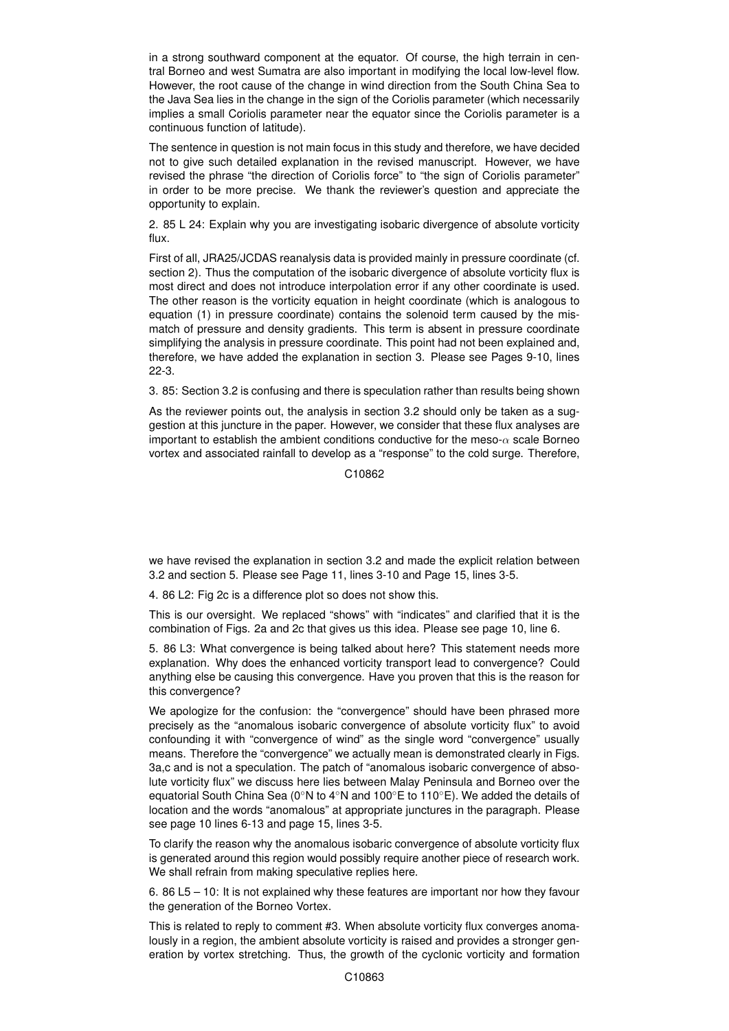in a strong southward component at the equator. Of course, the high terrain in central Borneo and west Sumatra are also important in modifying the local low-level flow. However, the root cause of the change in wind direction from the South China Sea to the Java Sea lies in the change in the sign of the Coriolis parameter (which necessarily implies a small Coriolis parameter near the equator since the Coriolis parameter is a continuous function of latitude).

The sentence in question is not main focus in this study and therefore, we have decided not to give such detailed explanation in the revised manuscript. However, we have revised the phrase "the direction of Coriolis force" to "the sign of Coriolis parameter" in order to be more precise. We thank the reviewer's question and appreciate the opportunity to explain.

2. 85 L 24: Explain why you are investigating isobaric divergence of absolute vorticity flux.

First of all, JRA25/JCDAS reanalysis data is provided mainly in pressure coordinate (cf. section 2). Thus the computation of the isobaric divergence of absolute vorticity flux is most direct and does not introduce interpolation error if any other coordinate is used. The other reason is the vorticity equation in height coordinate (which is analogous to equation (1) in pressure coordinate) contains the solenoid term caused by the mismatch of pressure and density gradients. This term is absent in pressure coordinate simplifying the analysis in pressure coordinate. This point had not been explained and, therefore, we have added the explanation in section 3. Please see Pages 9-10, lines 22-3.

3. 85: Section 3.2 is confusing and there is speculation rather than results being shown

As the reviewer points out, the analysis in section 3.2 should only be taken as a suggestion at this juncture in the paper. However, we consider that these flux analyses are important to establish the ambient conditions conductive for the meso- $\alpha$  scale Borneo vortex and associated rainfall to develop as a "response" to the cold surge. Therefore,

C10862

we have revised the explanation in section 3.2 and made the explicit relation between 3.2 and section 5. Please see Page 11, lines 3-10 and Page 15, lines 3-5.

4. 86 L2: Fig 2c is a difference plot so does not show this.

This is our oversight. We replaced "shows" with "indicates" and clarified that it is the combination of Figs. 2a and 2c that gives us this idea. Please see page 10, line 6.

5. 86 L3: What convergence is being talked about here? This statement needs more explanation. Why does the enhanced vorticity transport lead to convergence? Could anything else be causing this convergence. Have you proven that this is the reason for this convergence?

We apologize for the confusion: the "convergence" should have been phrased more precisely as the "anomalous isobaric convergence of absolute vorticity flux" to avoid confounding it with "convergence of wind" as the single word "convergence" usually means. Therefore the "convergence" we actually mean is demonstrated clearly in Figs. 3a,c and is not a speculation. The patch of "anomalous isobaric convergence of absolute vorticity flux" we discuss here lies between Malay Peninsula and Borneo over the equatorial South China Sea (0◦N to 4◦N and 100◦E to 110◦E). We added the details of location and the words "anomalous" at appropriate junctures in the paragraph. Please see page 10 lines 6-13 and page 15, lines 3-5.

To clarify the reason why the anomalous isobaric convergence of absolute vorticity flux is generated around this region would possibly require another piece of research work. We shall refrain from making speculative replies here.

6. 86 L5 – 10: It is not explained why these features are important nor how they favour the generation of the Borneo Vortex.

This is related to reply to comment #3. When absolute vorticity flux converges anomalously in a region, the ambient absolute vorticity is raised and provides a stronger generation by vortex stretching. Thus, the growth of the cyclonic vorticity and formation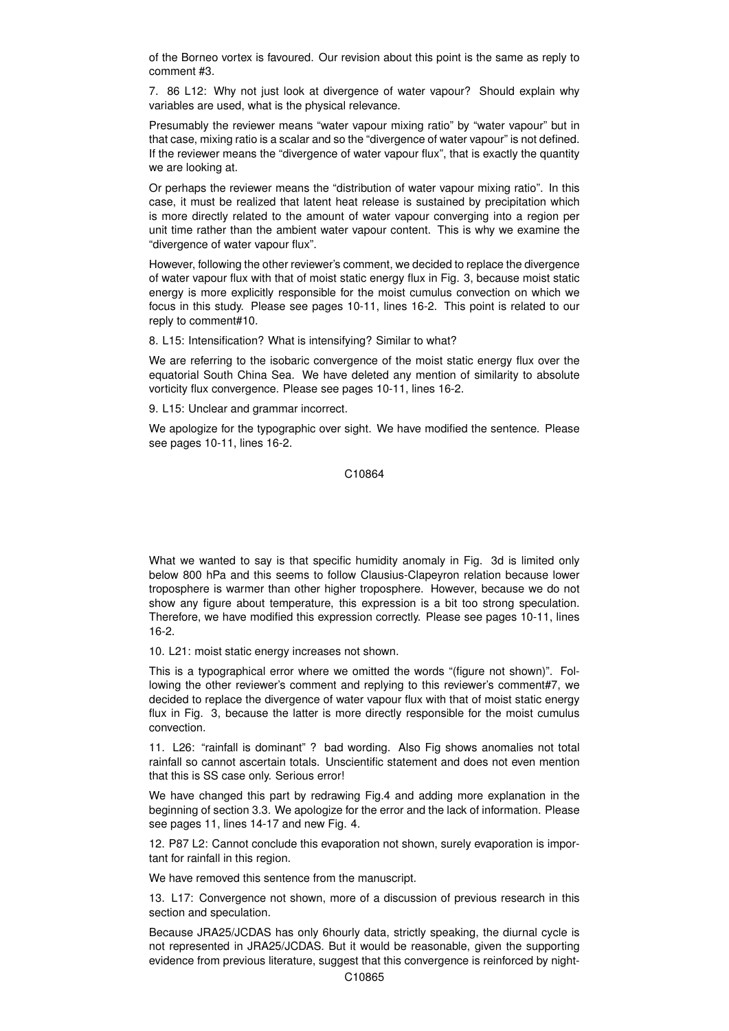of the Borneo vortex is favoured. Our revision about this point is the same as reply to comment #3.

7. 86 L12: Why not just look at divergence of water vapour? Should explain why variables are used, what is the physical relevance.

Presumably the reviewer means "water vapour mixing ratio" by "water vapour" but in that case, mixing ratio is a scalar and so the "divergence of water vapour" is not defined. If the reviewer means the "divergence of water vapour flux", that is exactly the quantity we are looking at.

Or perhaps the reviewer means the "distribution of water vapour mixing ratio". In this case, it must be realized that latent heat release is sustained by precipitation which is more directly related to the amount of water vapour converging into a region per unit time rather than the ambient water vapour content. This is why we examine the "divergence of water vapour flux".

However, following the other reviewer's comment, we decided to replace the divergence of water vapour flux with that of moist static energy flux in Fig. 3, because moist static energy is more explicitly responsible for the moist cumulus convection on which we focus in this study. Please see pages 10-11, lines 16-2. This point is related to our reply to comment#10.

8. L15: Intensification? What is intensifying? Similar to what?

We are referring to the isobaric convergence of the moist static energy flux over the equatorial South China Sea. We have deleted any mention of similarity to absolute vorticity flux convergence. Please see pages 10-11, lines 16-2.

9. L15: Unclear and grammar incorrect.

We apologize for the typographic over sight. We have modified the sentence. Please see pages 10-11, lines 16-2.

C10864

What we wanted to say is that specific humidity anomaly in Fig. 3d is limited only below 800 hPa and this seems to follow Clausius-Clapeyron relation because lower troposphere is warmer than other higher troposphere. However, because we do not show any figure about temperature, this expression is a bit too strong speculation. Therefore, we have modified this expression correctly. Please see pages 10-11, lines 16-2.

10. L21: moist static energy increases not shown.

This is a typographical error where we omitted the words "(figure not shown)". Following the other reviewer's comment and replying to this reviewer's comment#7, we decided to replace the divergence of water vapour flux with that of moist static energy flux in Fig. 3, because the latter is more directly responsible for the moist cumulus convection.

11. L26: "rainfall is dominant" ? bad wording. Also Fig shows anomalies not total rainfall so cannot ascertain totals. Unscientific statement and does not even mention that this is SS case only. Serious error!

We have changed this part by redrawing Fig.4 and adding more explanation in the beginning of section 3.3. We apologize for the error and the lack of information. Please see pages 11, lines 14-17 and new Fig. 4.

12. P87 L2: Cannot conclude this evaporation not shown, surely evaporation is important for rainfall in this region.

We have removed this sentence from the manuscript.

13. L17: Convergence not shown, more of a discussion of previous research in this section and speculation.

Because JRA25/JCDAS has only 6hourly data, strictly speaking, the diurnal cycle is not represented in JRA25/JCDAS. But it would be reasonable, given the supporting evidence from previous literature, suggest that this convergence is reinforced by night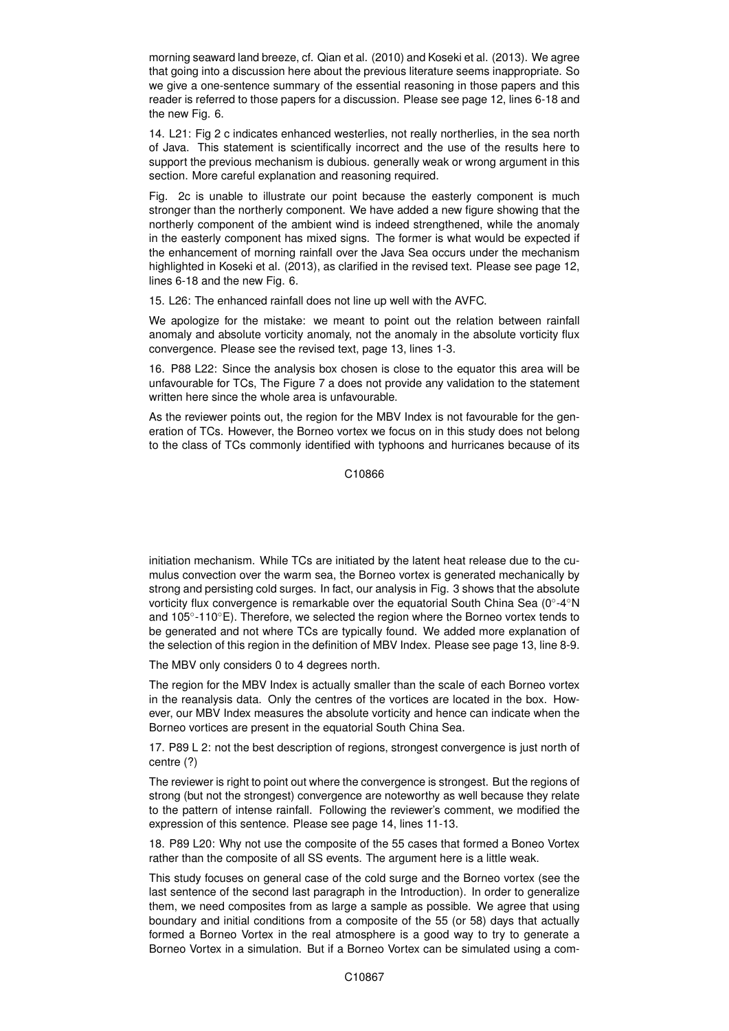morning seaward land breeze, cf. Qian et al. (2010) and Koseki et al. (2013). We agree that going into a discussion here about the previous literature seems inappropriate. So we give a one-sentence summary of the essential reasoning in those papers and this reader is referred to those papers for a discussion. Please see page 12, lines 6-18 and the new Fig. 6.

14. L21: Fig 2 c indicates enhanced westerlies, not really northerlies, in the sea north of Java. This statement is scientifically incorrect and the use of the results here to support the previous mechanism is dubious. generally weak or wrong argument in this section. More careful explanation and reasoning required.

Fig. 2c is unable to illustrate our point because the easterly component is much stronger than the northerly component. We have added a new figure showing that the northerly component of the ambient wind is indeed strengthened, while the anomaly in the easterly component has mixed signs. The former is what would be expected if the enhancement of morning rainfall over the Java Sea occurs under the mechanism highlighted in Koseki et al. (2013), as clarified in the revised text. Please see page 12, lines 6-18 and the new Fig. 6.

15. L26: The enhanced rainfall does not line up well with the AVFC.

We apologize for the mistake: we meant to point out the relation between rainfall anomaly and absolute vorticity anomaly, not the anomaly in the absolute vorticity flux convergence. Please see the revised text, page 13, lines 1-3.

16. P88 L22: Since the analysis box chosen is close to the equator this area will be unfavourable for TCs, The Figure 7 a does not provide any validation to the statement written here since the whole area is unfavourable.

As the reviewer points out, the region for the MBV Index is not favourable for the generation of TCs. However, the Borneo vortex we focus on in this study does not belong to the class of TCs commonly identified with typhoons and hurricanes because of its

C10866

initiation mechanism. While TCs are initiated by the latent heat release due to the cumulus convection over the warm sea, the Borneo vortex is generated mechanically by strong and persisting cold surges. In fact, our analysis in Fig. 3 shows that the absolute vorticity flux convergence is remarkable over the equatorial South China Sea (0◦ -4◦N and 105◦ -110◦E). Therefore, we selected the region where the Borneo vortex tends to be generated and not where TCs are typically found. We added more explanation of the selection of this region in the definition of MBV Index. Please see page 13, line 8-9.

The MBV only considers 0 to 4 degrees north.

The region for the MBV Index is actually smaller than the scale of each Borneo vortex in the reanalysis data. Only the centres of the vortices are located in the box. However, our MBV Index measures the absolute vorticity and hence can indicate when the Borneo vortices are present in the equatorial South China Sea.

17. P89 L 2: not the best description of regions, strongest convergence is just north of centre (?)

The reviewer is right to point out where the convergence is strongest. But the regions of strong (but not the strongest) convergence are noteworthy as well because they relate to the pattern of intense rainfall. Following the reviewer's comment, we modified the expression of this sentence. Please see page 14, lines 11-13.

18. P89 L20: Why not use the composite of the 55 cases that formed a Boneo Vortex rather than the composite of all SS events. The argument here is a little weak.

This study focuses on general case of the cold surge and the Borneo vortex (see the last sentence of the second last paragraph in the Introduction). In order to generalize them, we need composites from as large a sample as possible. We agree that using boundary and initial conditions from a composite of the 55 (or 58) days that actually formed a Borneo Vortex in the real atmosphere is a good way to try to generate a Borneo Vortex in a simulation. But if a Borneo Vortex can be simulated using a com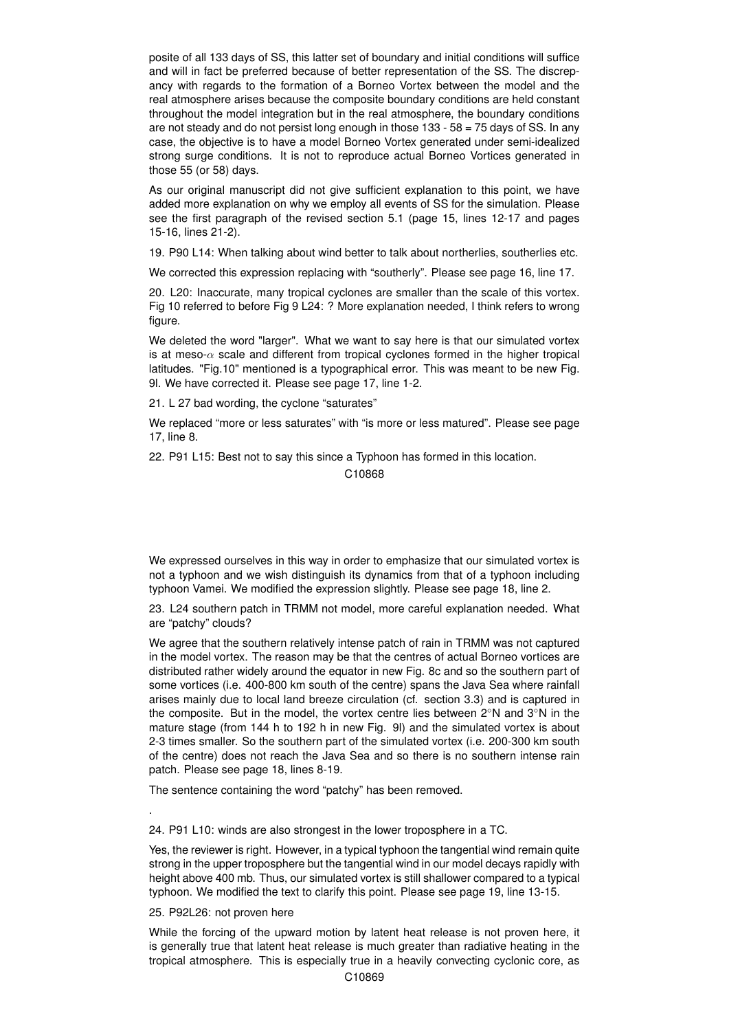posite of all 133 days of SS, this latter set of boundary and initial conditions will suffice and will in fact be preferred because of better representation of the SS. The discrepancy with regards to the formation of a Borneo Vortex between the model and the real atmosphere arises because the composite boundary conditions are held constant throughout the model integration but in the real atmosphere, the boundary conditions are not steady and do not persist long enough in those  $133 - 58 = 75$  days of SS. In any case, the objective is to have a model Borneo Vortex generated under semi-idealized strong surge conditions. It is not to reproduce actual Borneo Vortices generated in those 55 (or 58) days.

As our original manuscript did not give sufficient explanation to this point, we have added more explanation on why we employ all events of SS for the simulation. Please see the first paragraph of the revised section 5.1 (page 15, lines 12-17 and pages 15-16, lines 21-2).

19. P90 L14: When talking about wind better to talk about northerlies, southerlies etc.

We corrected this expression replacing with "southerly". Please see page 16, line 17.

20. L20: Inaccurate, many tropical cyclones are smaller than the scale of this vortex. Fig 10 referred to before Fig 9 L24: ? More explanation needed, I think refers to wrong figure.

We deleted the word "larger". What we want to say here is that our simulated vortex is at meso- $\alpha$  scale and different from tropical cyclones formed in the higher tropical latitudes. "Fig.10" mentioned is a typographical error. This was meant to be new Fig. 9l. We have corrected it. Please see page 17, line 1-2.

21. L 27 bad wording, the cyclone "saturates"

We replaced "more or less saturates" with "is more or less matured". Please see page 17, line 8.

22. P91 L15: Best not to say this since a Typhoon has formed in this location.

C10868

We expressed ourselves in this way in order to emphasize that our simulated vortex is not a typhoon and we wish distinguish its dynamics from that of a typhoon including typhoon Vamei. We modified the expression slightly. Please see page 18, line 2.

23. L24 southern patch in TRMM not model, more careful explanation needed. What are "patchy" clouds?

We agree that the southern relatively intense patch of rain in TRMM was not captured in the model vortex. The reason may be that the centres of actual Borneo vortices are distributed rather widely around the equator in new Fig. 8c and so the southern part of some vortices (i.e. 400-800 km south of the centre) spans the Java Sea where rainfall arises mainly due to local land breeze circulation (cf. section 3.3) and is captured in the composite. But in the model, the vortex centre lies between 2◦N and 3◦N in the mature stage (from 144 h to 192 h in new Fig. 9l) and the simulated vortex is about 2-3 times smaller. So the southern part of the simulated vortex (i.e. 200-300 km south of the centre) does not reach the Java Sea and so there is no southern intense rain patch. Please see page 18, lines 8-19.

The sentence containing the word "patchy" has been removed.

24. P91 L10: winds are also strongest in the lower troposphere in a TC.

Yes, the reviewer is right. However, in a typical typhoon the tangential wind remain quite strong in the upper troposphere but the tangential wind in our model decays rapidly with height above 400 mb. Thus, our simulated vortex is still shallower compared to a typical typhoon. We modified the text to clarify this point. Please see page 19, line 13-15.

25. P92L26: not proven here

.

While the forcing of the upward motion by latent heat release is not proven here, it is generally true that latent heat release is much greater than radiative heating in the tropical atmosphere. This is especially true in a heavily convecting cyclonic core, as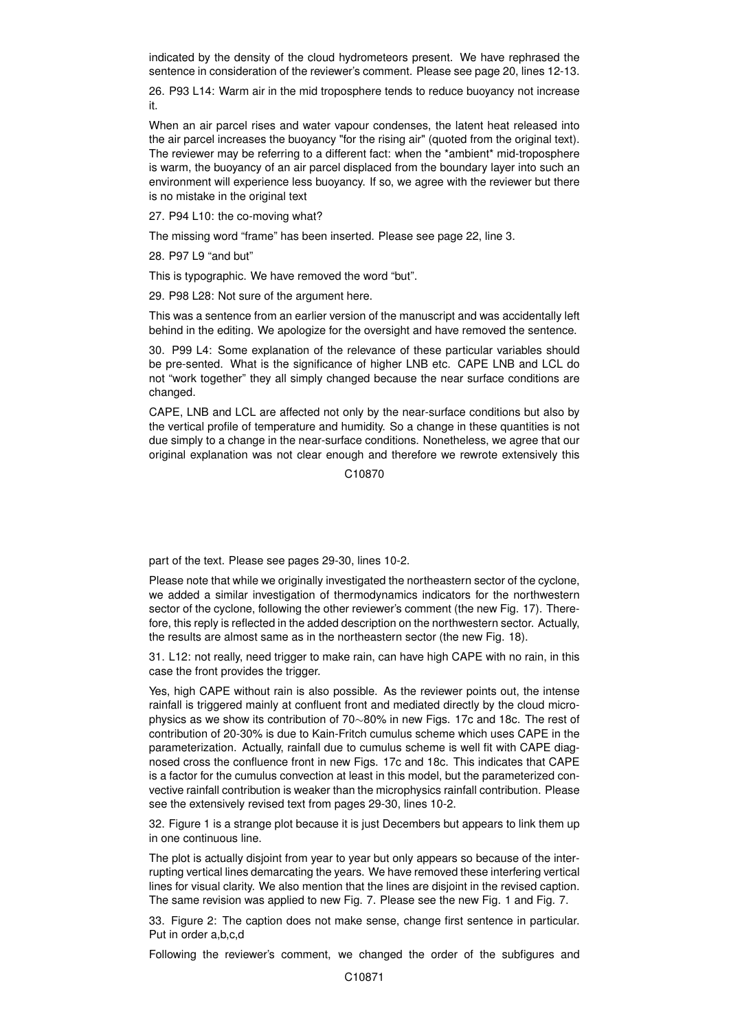indicated by the density of the cloud hydrometeors present. We have rephrased the sentence in consideration of the reviewer's comment. Please see page 20, lines 12-13.

26. P93 L14: Warm air in the mid troposphere tends to reduce buoyancy not increase it.

When an air parcel rises and water vapour condenses, the latent heat released into the air parcel increases the buoyancy "for the rising air" (quoted from the original text). The reviewer may be referring to a different fact: when the \*ambient\* mid-troposphere is warm, the buoyancy of an air parcel displaced from the boundary layer into such an environment will experience less buoyancy. If so, we agree with the reviewer but there is no mistake in the original text

27. P94 L10: the co-moving what?

The missing word "frame" has been inserted. Please see page 22, line 3.

28. P97 L9 "and but"

This is typographic. We have removed the word "but".

29. P98 L28: Not sure of the argument here.

This was a sentence from an earlier version of the manuscript and was accidentally left behind in the editing. We apologize for the oversight and have removed the sentence.

30. P99 L4: Some explanation of the relevance of these particular variables should be pre-sented. What is the significance of higher LNB etc. CAPE LNB and LCL do not "work together" they all simply changed because the near surface conditions are changed.

CAPE, LNB and LCL are affected not only by the near-surface conditions but also by the vertical profile of temperature and humidity. So a change in these quantities is not due simply to a change in the near-surface conditions. Nonetheless, we agree that our original explanation was not clear enough and therefore we rewrote extensively this

C10870

part of the text. Please see pages 29-30, lines 10-2.

Please note that while we originally investigated the northeastern sector of the cyclone, we added a similar investigation of thermodynamics indicators for the northwestern sector of the cyclone, following the other reviewer's comment (the new Fig. 17). Therefore, this reply is reflected in the added description on the northwestern sector. Actually, the results are almost same as in the northeastern sector (the new Fig. 18).

31. L12: not really, need trigger to make rain, can have high CAPE with no rain, in this case the front provides the trigger.

Yes, high CAPE without rain is also possible. As the reviewer points out, the intense rainfall is triggered mainly at confluent front and mediated directly by the cloud microphysics as we show its contribution of 70∼80% in new Figs. 17c and 18c. The rest of contribution of 20-30% is due to Kain-Fritch cumulus scheme which uses CAPE in the parameterization. Actually, rainfall due to cumulus scheme is well fit with CAPE diagnosed cross the confluence front in new Figs. 17c and 18c. This indicates that CAPE is a factor for the cumulus convection at least in this model, but the parameterized convective rainfall contribution is weaker than the microphysics rainfall contribution. Please see the extensively revised text from pages 29-30, lines 10-2.

32. Figure 1 is a strange plot because it is just Decembers but appears to link them up in one continuous line.

The plot is actually disjoint from year to year but only appears so because of the interrupting vertical lines demarcating the years. We have removed these interfering vertical lines for visual clarity. We also mention that the lines are disjoint in the revised caption. The same revision was applied to new Fig. 7. Please see the new Fig. 1 and Fig. 7.

33. Figure 2: The caption does not make sense, change first sentence in particular. Put in order a,b,c,d

Following the reviewer's comment, we changed the order of the subfigures and